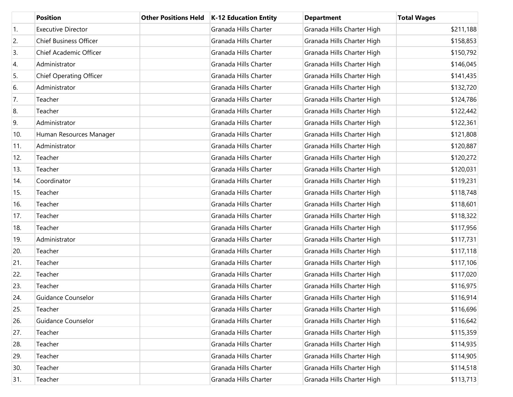|     | <b>Position</b>                | <b>Other Positions Held</b> | K-12 Education Entity | <b>Department</b>          | <b>Total Wages</b> |
|-----|--------------------------------|-----------------------------|-----------------------|----------------------------|--------------------|
| 1.  | <b>Executive Director</b>      |                             | Granada Hills Charter | Granada Hills Charter High | \$211,188          |
| 2.  | <b>Chief Business Officer</b>  |                             | Granada Hills Charter | Granada Hills Charter High | \$158,853          |
| 3.  | Chief Academic Officer         |                             | Granada Hills Charter | Granada Hills Charter High | \$150,792          |
| 4.  | Administrator                  |                             | Granada Hills Charter | Granada Hills Charter High | \$146,045          |
| 5.  | <b>Chief Operating Officer</b> |                             | Granada Hills Charter | Granada Hills Charter High | \$141,435          |
| 6.  | Administrator                  |                             | Granada Hills Charter | Granada Hills Charter High | \$132,720          |
| 7.  | Teacher                        |                             | Granada Hills Charter | Granada Hills Charter High | \$124,786          |
| 8.  | Teacher                        |                             | Granada Hills Charter | Granada Hills Charter High | \$122,442          |
| 9.  | Administrator                  |                             | Granada Hills Charter | Granada Hills Charter High | \$122,361          |
| 10. | Human Resources Manager        |                             | Granada Hills Charter | Granada Hills Charter High | \$121,808          |
| 11. | Administrator                  |                             | Granada Hills Charter | Granada Hills Charter High | \$120,887          |
| 12. | Teacher                        |                             | Granada Hills Charter | Granada Hills Charter High | \$120,272          |
| 13. | Teacher                        |                             | Granada Hills Charter | Granada Hills Charter High | \$120,031          |
| 14. | Coordinator                    |                             | Granada Hills Charter | Granada Hills Charter High | \$119,231          |
| 15. | Teacher                        |                             | Granada Hills Charter | Granada Hills Charter High | \$118,748          |
| 16. | Teacher                        |                             | Granada Hills Charter | Granada Hills Charter High | \$118,601          |
| 17. | Teacher                        |                             | Granada Hills Charter | Granada Hills Charter High | \$118,322          |
| 18. | Teacher                        |                             | Granada Hills Charter | Granada Hills Charter High | \$117,956          |
| 19. | Administrator                  |                             | Granada Hills Charter | Granada Hills Charter High | \$117,731          |
| 20. | Teacher                        |                             | Granada Hills Charter | Granada Hills Charter High | \$117,118          |
| 21. | Teacher                        |                             | Granada Hills Charter | Granada Hills Charter High | \$117,106          |
| 22. | Teacher                        |                             | Granada Hills Charter | Granada Hills Charter High | \$117,020          |
| 23. | Teacher                        |                             | Granada Hills Charter | Granada Hills Charter High | \$116,975          |
| 24. | <b>Guidance Counselor</b>      |                             | Granada Hills Charter | Granada Hills Charter High | \$116,914          |
| 25. | Teacher                        |                             | Granada Hills Charter | Granada Hills Charter High | \$116,696          |
| 26. | Guidance Counselor             |                             | Granada Hills Charter | Granada Hills Charter High | \$116,642          |
| 27. | Teacher                        |                             | Granada Hills Charter | Granada Hills Charter High | \$115,359          |
| 28. | Teacher                        |                             | Granada Hills Charter | Granada Hills Charter High | \$114,935          |
| 29. | Teacher                        |                             | Granada Hills Charter | Granada Hills Charter High | \$114,905          |
| 30. | Teacher                        |                             | Granada Hills Charter | Granada Hills Charter High | \$114,518          |
| 31. | Teacher                        |                             | Granada Hills Charter | Granada Hills Charter High | \$113,713          |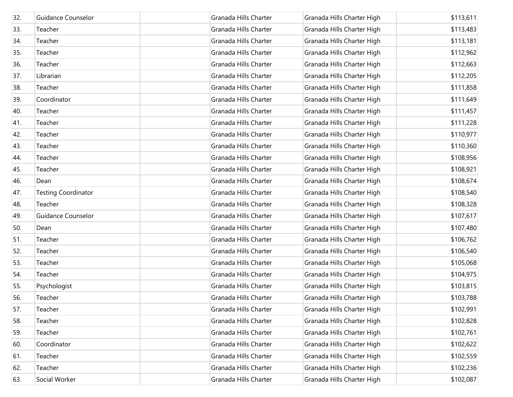| 32. | Guidance Counselor         | Granada Hills Charter | Granada Hills Charter High | \$113,611 |
|-----|----------------------------|-----------------------|----------------------------|-----------|
| 33. | Teacher                    | Granada Hills Charter | Granada Hills Charter High | \$113,483 |
| 34. | Teacher                    | Granada Hills Charter | Granada Hills Charter High | \$113,181 |
| 35. | Teacher                    | Granada Hills Charter | Granada Hills Charter High | \$112,962 |
| 36. | Teacher                    | Granada Hills Charter | Granada Hills Charter High | \$112,663 |
| 37. | Librarian                  | Granada Hills Charter | Granada Hills Charter High | \$112,205 |
| 38. | Teacher                    | Granada Hills Charter | Granada Hills Charter High | \$111,858 |
| 39. | Coordinator                | Granada Hills Charter | Granada Hills Charter High | \$111,649 |
| 40. | Teacher                    | Granada Hills Charter | Granada Hills Charter High | \$111,457 |
| 41. | Teacher                    | Granada Hills Charter | Granada Hills Charter High | \$111,228 |
| 42. | Teacher                    | Granada Hills Charter | Granada Hills Charter High | \$110,977 |
| 43. | Teacher                    | Granada Hills Charter | Granada Hills Charter High | \$110,360 |
| 44. | Teacher                    | Granada Hills Charter | Granada Hills Charter High | \$108,956 |
| 45. | Teacher                    | Granada Hills Charter | Granada Hills Charter High | \$108,921 |
| 46. | Dean                       | Granada Hills Charter | Granada Hills Charter High | \$108,674 |
| 47. | <b>Testing Coordinator</b> | Granada Hills Charter | Granada Hills Charter High | \$108,540 |
| 48. | Teacher                    | Granada Hills Charter | Granada Hills Charter High | \$108,328 |
| 49. | <b>Guidance Counselor</b>  | Granada Hills Charter | Granada Hills Charter High | \$107,617 |
| 50. | Dean                       | Granada Hills Charter | Granada Hills Charter High | \$107,480 |
| 51. | Teacher                    | Granada Hills Charter | Granada Hills Charter High | \$106,762 |
| 52. | Teacher                    | Granada Hills Charter | Granada Hills Charter High | \$106,540 |
| 53. | Teacher                    | Granada Hills Charter | Granada Hills Charter High | \$105,068 |
| 54. | Teacher                    | Granada Hills Charter | Granada Hills Charter High | \$104,975 |
| 55. | Psychologist               | Granada Hills Charter | Granada Hills Charter High | \$103,815 |
| 56. | Teacher                    | Granada Hills Charter | Granada Hills Charter High | \$103,788 |
| 57. | Teacher                    | Granada Hills Charter | Granada Hills Charter High | \$102,991 |
| 58. | Teacher                    | Granada Hills Charter | Granada Hills Charter High | \$102,828 |
| 59. | Teacher                    | Granada Hills Charter | Granada Hills Charter High | \$102,761 |
| 60. | Coordinator                | Granada Hills Charter | Granada Hills Charter High | \$102,622 |
| 61. | Teacher                    | Granada Hills Charter | Granada Hills Charter High | \$102,559 |
| 62. | Teacher                    | Granada Hills Charter | Granada Hills Charter High | \$102,236 |
| 63. | Social Worker              | Granada Hills Charter | Granada Hills Charter High | \$102,087 |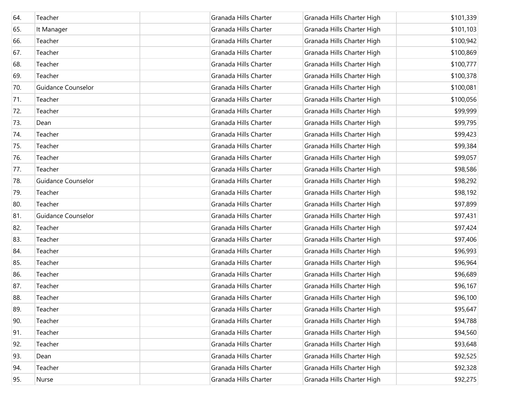| 64. | Teacher                   | Granada Hills Charter | Granada Hills Charter High | \$101,339 |
|-----|---------------------------|-----------------------|----------------------------|-----------|
| 65. | It Manager                | Granada Hills Charter | Granada Hills Charter High | \$101,103 |
| 66. | Teacher                   | Granada Hills Charter | Granada Hills Charter High | \$100,942 |
| 67. | Teacher                   | Granada Hills Charter | Granada Hills Charter High | \$100,869 |
| 68. | Teacher                   | Granada Hills Charter | Granada Hills Charter High | \$100,777 |
| 69. | Teacher                   | Granada Hills Charter | Granada Hills Charter High | \$100,378 |
| 70. | <b>Guidance Counselor</b> | Granada Hills Charter | Granada Hills Charter High | \$100,081 |
| 71. | Teacher                   | Granada Hills Charter | Granada Hills Charter High | \$100,056 |
| 72. | Teacher                   | Granada Hills Charter | Granada Hills Charter High | \$99,999  |
| 73. | Dean                      | Granada Hills Charter | Granada Hills Charter High | \$99,795  |
| 74. | Teacher                   | Granada Hills Charter | Granada Hills Charter High | \$99,423  |
| 75. | Teacher                   | Granada Hills Charter | Granada Hills Charter High | \$99,384  |
| 76. | Teacher                   | Granada Hills Charter | Granada Hills Charter High | \$99,057  |
| 77. | Teacher                   | Granada Hills Charter | Granada Hills Charter High | \$98,586  |
| 78. | Guidance Counselor        | Granada Hills Charter | Granada Hills Charter High | \$98,292  |
| 79. | Teacher                   | Granada Hills Charter | Granada Hills Charter High | \$98,192  |
| 80. | Teacher                   | Granada Hills Charter | Granada Hills Charter High | \$97,899  |
| 81. | <b>Guidance Counselor</b> | Granada Hills Charter | Granada Hills Charter High | \$97,431  |
| 82. | Teacher                   | Granada Hills Charter | Granada Hills Charter High | \$97,424  |
| 83. | Teacher                   | Granada Hills Charter | Granada Hills Charter High | \$97,406  |
| 84. | Teacher                   | Granada Hills Charter | Granada Hills Charter High | \$96,993  |
| 85. | Teacher                   | Granada Hills Charter | Granada Hills Charter High | \$96,964  |
| 86. | Teacher                   | Granada Hills Charter | Granada Hills Charter High | \$96,689  |
| 87. | Teacher                   | Granada Hills Charter | Granada Hills Charter High | \$96,167  |
| 88. | Teacher                   | Granada Hills Charter | Granada Hills Charter High | \$96,100  |
| 89. | Teacher                   | Granada Hills Charter | Granada Hills Charter High | \$95,647  |
| 90. | Teacher                   | Granada Hills Charter | Granada Hills Charter High | \$94,788  |
| 91. | Teacher                   | Granada Hills Charter | Granada Hills Charter High | \$94,560  |
| 92. | Teacher                   | Granada Hills Charter | Granada Hills Charter High | \$93,648  |
| 93. | Dean                      | Granada Hills Charter | Granada Hills Charter High | \$92,525  |
| 94. | Teacher                   | Granada Hills Charter | Granada Hills Charter High | \$92,328  |
| 95. | Nurse                     | Granada Hills Charter | Granada Hills Charter High | \$92,275  |